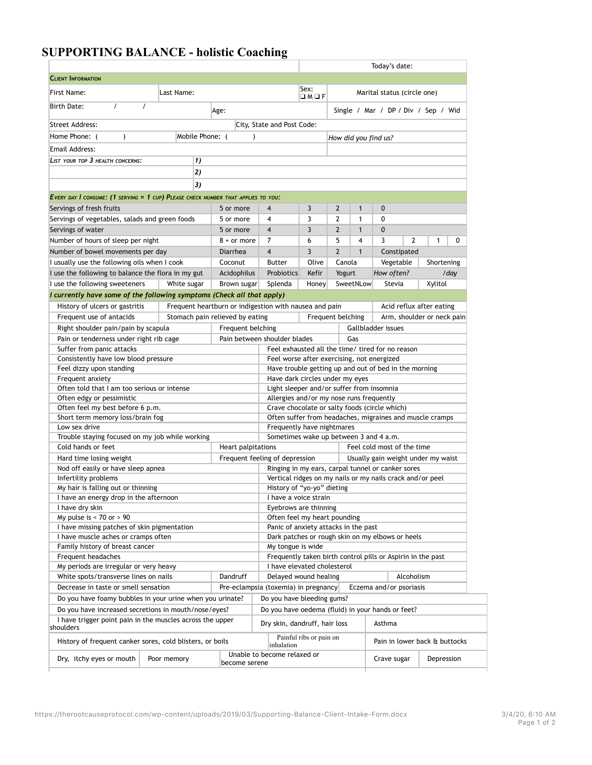## **SUPPORTING BALANCE - holistic Coaching**

|                                                                                   |                                                                       |                                                        |                                                                                              |                                                                      |                                                                                         |                   | Today's date:                                          |                                  |         |   |  |  |
|-----------------------------------------------------------------------------------|-----------------------------------------------------------------------|--------------------------------------------------------|----------------------------------------------------------------------------------------------|----------------------------------------------------------------------|-----------------------------------------------------------------------------------------|-------------------|--------------------------------------------------------|----------------------------------|---------|---|--|--|
| <b>CLIENT INFORMATION</b>                                                         |                                                                       |                                                        |                                                                                              |                                                                      |                                                                                         |                   |                                                        |                                  |         |   |  |  |
| First Name:                                                                       | Last Name:                                                            |                                                        |                                                                                              |                                                                      | Marital status (circle one)<br>$\Box$ $M$ $\Box$ $F$                                    |                   |                                                        |                                  |         |   |  |  |
| $\prime$<br>$\prime$<br><b>Birth Date:</b>                                        |                                                                       | Age:                                                   |                                                                                              |                                                                      |                                                                                         |                   | Single / Mar / DP / Div / Sep / Wid                    |                                  |         |   |  |  |
| Street Address:                                                                   |                                                                       |                                                        | City, State and Post Code:                                                                   |                                                                      |                                                                                         |                   |                                                        |                                  |         |   |  |  |
| Home Phone: (<br>$\lambda$                                                        | Mobile Phone: (<br>$\lambda$<br>How did you find us?                  |                                                        |                                                                                              |                                                                      |                                                                                         |                   |                                                        |                                  |         |   |  |  |
| Email Address:                                                                    |                                                                       |                                                        |                                                                                              |                                                                      |                                                                                         |                   |                                                        |                                  |         |   |  |  |
| LIST YOUR TOP 3 HEALTH CONCERNS:                                                  | 1)                                                                    |                                                        |                                                                                              |                                                                      |                                                                                         |                   |                                                        |                                  |         |   |  |  |
|                                                                                   | 2)                                                                    |                                                        |                                                                                              |                                                                      |                                                                                         |                   |                                                        |                                  |         |   |  |  |
|                                                                                   | 3)                                                                    |                                                        |                                                                                              |                                                                      |                                                                                         |                   |                                                        |                                  |         |   |  |  |
|                                                                                   |                                                                       |                                                        |                                                                                              |                                                                      |                                                                                         |                   |                                                        |                                  |         |   |  |  |
| EVERY DAY I CONSUME: (1 SERVING = 1 CUP) PLEASE CHECK NUMBER THAT APPLIES TO YOU: |                                                                       |                                                        |                                                                                              |                                                                      |                                                                                         |                   |                                                        |                                  |         |   |  |  |
| Servings of fresh fruits                                                          |                                                                       | 5 or more<br>5 or more                                 | 4                                                                                            | 3<br>3                                                               | $\overline{2}$<br>2                                                                     | $\mathbf{1}$      | $\mathbf{0}$<br>0                                      |                                  |         |   |  |  |
|                                                                                   | Servings of vegetables, salads and green foods                        |                                                        | 4<br>$\overline{4}$                                                                          | 3                                                                    | $\overline{2}$                                                                          | 1<br>$\mathbf{1}$ | $\mathbf{0}$                                           |                                  |         |   |  |  |
| Servings of water<br>Number of hours of sleep per night                           |                                                                       | 5 or more<br>$8 +$ or more                             | 7                                                                                            | 6                                                                    | 5                                                                                       | 4                 | 3                                                      | $\overline{2}$                   | 1       | 0 |  |  |
| Number of bowel movements per day                                                 |                                                                       | Diarrhea                                               | $\overline{4}$                                                                               | 3                                                                    | $\overline{2}$                                                                          | $\mathbf{1}$      | Constipated                                            |                                  |         |   |  |  |
| I usually use the following oils when I cook                                      |                                                                       | Coconut                                                | <b>Butter</b>                                                                                | Olive                                                                | Canola                                                                                  |                   | Vegetable                                              |                                  |         |   |  |  |
| I use the following to balance the flora in my gut                                |                                                                       | Acidophilus                                            | <b>Probiotics</b>                                                                            | Kefir                                                                | Yogurt                                                                                  |                   |                                                        | Shortening<br>How often?<br>/day |         |   |  |  |
| I use the following sweeteners                                                    | White sugar                                                           | Brown sugar                                            | Splenda                                                                                      | Honey                                                                |                                                                                         | SweetNLow         | Stevia                                                 |                                  | Xylitol |   |  |  |
| I currently have some of the following symptoms (Check all that apply)            |                                                                       |                                                        |                                                                                              |                                                                      |                                                                                         |                   |                                                        |                                  |         |   |  |  |
| History of ulcers or gastritis                                                    |                                                                       | Frequent heartburn or indigestion with nausea and pain |                                                                                              |                                                                      |                                                                                         |                   |                                                        |                                  |         |   |  |  |
| Frequent use of antacids                                                          |                                                                       | Stomach pain relieved by eating                        |                                                                                              |                                                                      | Frequent belching                                                                       |                   | Acid reflux after eating<br>Arm, shoulder or neck pain |                                  |         |   |  |  |
| Right shoulder pain/pain by scapula                                               |                                                                       | Frequent belching                                      |                                                                                              |                                                                      |                                                                                         |                   | Gallbladder issues                                     |                                  |         |   |  |  |
| Pain or tenderness under right rib cage                                           |                                                                       |                                                        | Pain between shoulder blades                                                                 |                                                                      |                                                                                         | Gas               |                                                        |                                  |         |   |  |  |
| Suffer from panic attacks                                                         |                                                                       |                                                        | Feel exhausted all the time/ tired for no reason                                             |                                                                      |                                                                                         |                   |                                                        |                                  |         |   |  |  |
| Consistently have low blood pressure                                              |                                                                       |                                                        | Feel worse after exercising, not energized                                                   |                                                                      |                                                                                         |                   |                                                        |                                  |         |   |  |  |
| Feel dizzy upon standing                                                          |                                                                       |                                                        | Have trouble getting up and out of bed in the morning                                        |                                                                      |                                                                                         |                   |                                                        |                                  |         |   |  |  |
| Frequent anxiety                                                                  |                                                                       |                                                        | Have dark circles under my eyes                                                              |                                                                      |                                                                                         |                   |                                                        |                                  |         |   |  |  |
| Often told that I am too serious or intense                                       |                                                                       |                                                        | Light sleeper and/or suffer from insomnia                                                    |                                                                      |                                                                                         |                   |                                                        |                                  |         |   |  |  |
| Often edgy or pessimistic                                                         |                                                                       |                                                        | Allergies and/or my nose runs frequently                                                     |                                                                      |                                                                                         |                   |                                                        |                                  |         |   |  |  |
| Often feel my best before 6 p.m.                                                  |                                                                       |                                                        | Crave chocolate or salty foods (circle which)                                                |                                                                      |                                                                                         |                   |                                                        |                                  |         |   |  |  |
| Short term memory loss/brain fog                                                  |                                                                       |                                                        | Often suffer from headaches, migraines and muscle cramps                                     |                                                                      |                                                                                         |                   |                                                        |                                  |         |   |  |  |
|                                                                                   | Low sex drive                                                         |                                                        |                                                                                              | Frequently have nightmares<br>Sometimes wake up between 3 and 4 a.m. |                                                                                         |                   |                                                        |                                  |         |   |  |  |
| Cold hands or feet                                                                | Trouble staying focused on my job while working<br>Heart palpitations |                                                        |                                                                                              |                                                                      | Feel cold most of the time                                                              |                   |                                                        |                                  |         |   |  |  |
| Hard time losing weight                                                           |                                                                       |                                                        | Frequent feeling of depression                                                               |                                                                      | Usually gain weight under my waist                                                      |                   |                                                        |                                  |         |   |  |  |
| Nod off easily or have sleep apnea                                                |                                                                       |                                                        | Ringing in my ears, carpal tunnel or canker sores                                            |                                                                      |                                                                                         |                   |                                                        |                                  |         |   |  |  |
| Infertility problems                                                              |                                                                       |                                                        |                                                                                              |                                                                      |                                                                                         |                   |                                                        |                                  |         |   |  |  |
| My hair is falling out or thinning                                                |                                                                       |                                                        |                                                                                              |                                                                      | Vertical ridges on my nails or my nails crack and/or peel<br>History of "yo-yo" dieting |                   |                                                        |                                  |         |   |  |  |
| I have an energy drop in the afternoon                                            | I have a voice strain                                                 |                                                        |                                                                                              |                                                                      |                                                                                         |                   |                                                        |                                  |         |   |  |  |
| I have dry skin                                                                   | Eyebrows are thinning                                                 |                                                        |                                                                                              |                                                                      |                                                                                         |                   |                                                        |                                  |         |   |  |  |
| My pulse is $< 70$ or $> 90$                                                      |                                                                       |                                                        | Often feel my heart pounding                                                                 |                                                                      |                                                                                         |                   |                                                        |                                  |         |   |  |  |
| I have missing patches of skin pigmentation                                       |                                                                       |                                                        | Panic of anxiety attacks in the past                                                         |                                                                      |                                                                                         |                   |                                                        |                                  |         |   |  |  |
| I have muscle aches or cramps often<br>Family history of breast cancer            |                                                                       |                                                        | Dark patches or rough skin on my elbows or heels                                             |                                                                      |                                                                                         |                   |                                                        |                                  |         |   |  |  |
| Frequent headaches                                                                |                                                                       |                                                        | My tongue is wide<br>Frequently taken birth control pills or Aspirin in the past             |                                                                      |                                                                                         |                   |                                                        |                                  |         |   |  |  |
| My periods are irregular or very heavy                                            |                                                                       |                                                        | I have elevated cholesterol                                                                  |                                                                      |                                                                                         |                   |                                                        |                                  |         |   |  |  |
| White spots/transverse lines on nails<br>Dandruff                                 |                                                                       |                                                        | Delayed wound healing<br>Alcoholism                                                          |                                                                      |                                                                                         |                   |                                                        |                                  |         |   |  |  |
| Decrease in taste or smell sensation                                              |                                                                       |                                                        | Pre-eclampsia (toxemia) in pregnancy<br>Eczema and/or psoriasis                              |                                                                      |                                                                                         |                   |                                                        |                                  |         |   |  |  |
| Do you have foamy bubbles in your urine when you urinate?                         |                                                                       |                                                        | Do you have bleeding gums?                                                                   |                                                                      |                                                                                         |                   |                                                        |                                  |         |   |  |  |
| Do you have increased secretions in mouth/nose/eyes?                              |                                                                       |                                                        |                                                                                              |                                                                      |                                                                                         |                   |                                                        |                                  |         |   |  |  |
| I have trigger point pain in the muscles across the upper<br>shoulders            |                                                                       |                                                        | Do you have oedema (fluid) in your hands or feet?<br>Dry skin, dandruff, hair loss<br>Asthma |                                                                      |                                                                                         |                   |                                                        |                                  |         |   |  |  |
| History of frequent canker sores, cold blisters, or boils                         |                                                                       |                                                        | Painful ribs or pain on<br>inhalation                                                        |                                                                      |                                                                                         |                   | Pain in lower back & buttocks                          |                                  |         |   |  |  |
|                                                                                   |                                                                       |                                                        |                                                                                              |                                                                      |                                                                                         |                   |                                                        |                                  |         |   |  |  |